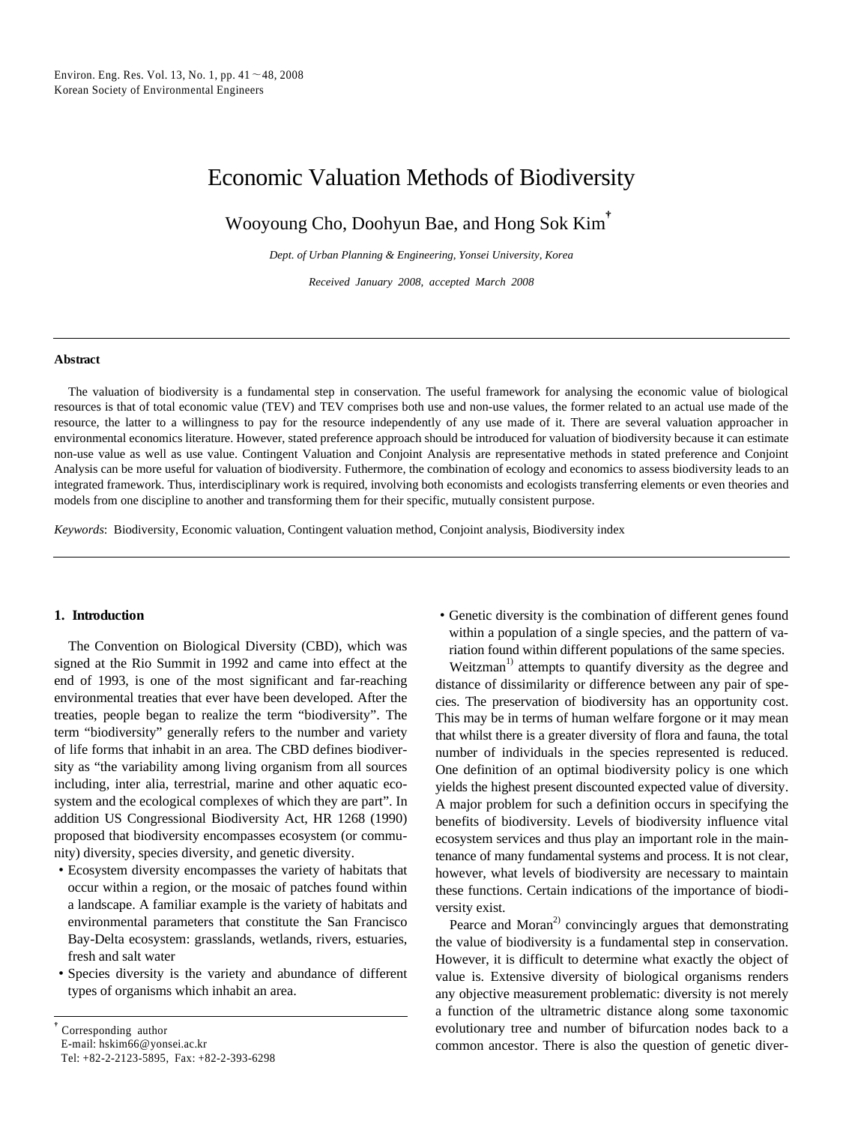# Economic Valuation Methods of Biodiversity

Wooyoung Cho, Doohyun Bae, and Hong Sok Kim†

*Dept. of Urban Planning & Engineering, Yonsei University, Korea*

*Received January 2008, accepted March 2008*

#### **Abstract**

The valuation of biodiversity is a fundamental step in conservation. The useful framework for analysing the economic value of biological resources is that of total economic value (TEV) and TEV comprises both use and non-use values, the former related to an actual use made of the resource, the latter to a willingness to pay for the resource independently of any use made of it. There are several valuation approacher in environmental economics literature. However, stated preference approach should be introduced for valuation of biodiversity because it can estimate non-use value as well as use value. Contingent Valuation and Conjoint Analysis are representative methods in stated preference and Conjoint Analysis can be more useful for valuation of biodiversity. Futhermore, the combination of ecology and economics to assess biodiversity leads to an integrated framework. Thus, interdisciplinary work is required, involving both economists and ecologists transferring elements or even theories and models from one discipline to another and transforming them for their specific, mutually consistent purpose.

*Keywords*: Biodiversity, Economic valuation, Contingent valuation method, Conjoint analysis, Biodiversity index

## **1. Introduction**

The Convention on Biological Diversity (CBD), which was signed at the Rio Summit in 1992 and came into effect at the end of 1993, is one of the most significant and far-reaching environmental treaties that ever have been developed. After the treaties, people began to realize the term "biodiversity". The term "biodiversity" generally refers to the number and variety of life forms that inhabit in an area. The CBD defines biodiversity as "the variability among living organism from all sources including, inter alia, terrestrial, marine and other aquatic ecosystem and the ecological complexes of which they are part". In addition US Congressional Biodiversity Act, HR 1268 (1990) proposed that biodiversity encompasses ecosystem (or community) diversity, species diversity, and genetic diversity.

- ∙Ecosystem diversity encompasses the variety of habitats that occur within a region, or the mosaic of patches found within a landscape. A familiar example is the variety of habitats and environmental parameters that constitute the San Francisco Bay-Delta ecosystem: grasslands, wetlands, rivers, estuaries, fresh and salt water
- ∙Species diversity is the variety and abundance of different types of organisms which inhabit an area.

∙Genetic diversity is the combination of different genes found within a population of a single species, and the pattern of variation found within different populations of the same species.

Weitzman<sup>1)</sup> attempts to quantify diversity as the degree and distance of dissimilarity or difference between any pair of species. The preservation of biodiversity has an opportunity cost. This may be in terms of human welfare forgone or it may mean that whilst there is a greater diversity of flora and fauna, the total number of individuals in the species represented is reduced. One definition of an optimal biodiversity policy is one which yields the highest present discounted expected value of diversity. A major problem for such a definition occurs in specifying the benefits of biodiversity. Levels of biodiversity influence vital ecosystem services and thus play an important role in the maintenance of many fundamental systems and process. It is not clear, however, what levels of biodiversity are necessary to maintain these functions. Certain indications of the importance of biodiversity exist.

Pearce and Moran<sup>2)</sup> convincingly argues that demonstrating the value of biodiversity is a fundamental step in conservation. However, it is difficult to determine what exactly the object of value is. Extensive diversity of biological organisms renders any objective measurement problematic: diversity is not merely a function of the ultrametric distance along some taxonomic evolutionary tree and number of bifurcation nodes back to a common ancestor. There is also the question of genetic diver-

<sup>†</sup>Corresponding author E-mail: hskim66@yonsei.ac.kr Tel: +82-2-2123-5895, Fax: +82-2-393-6298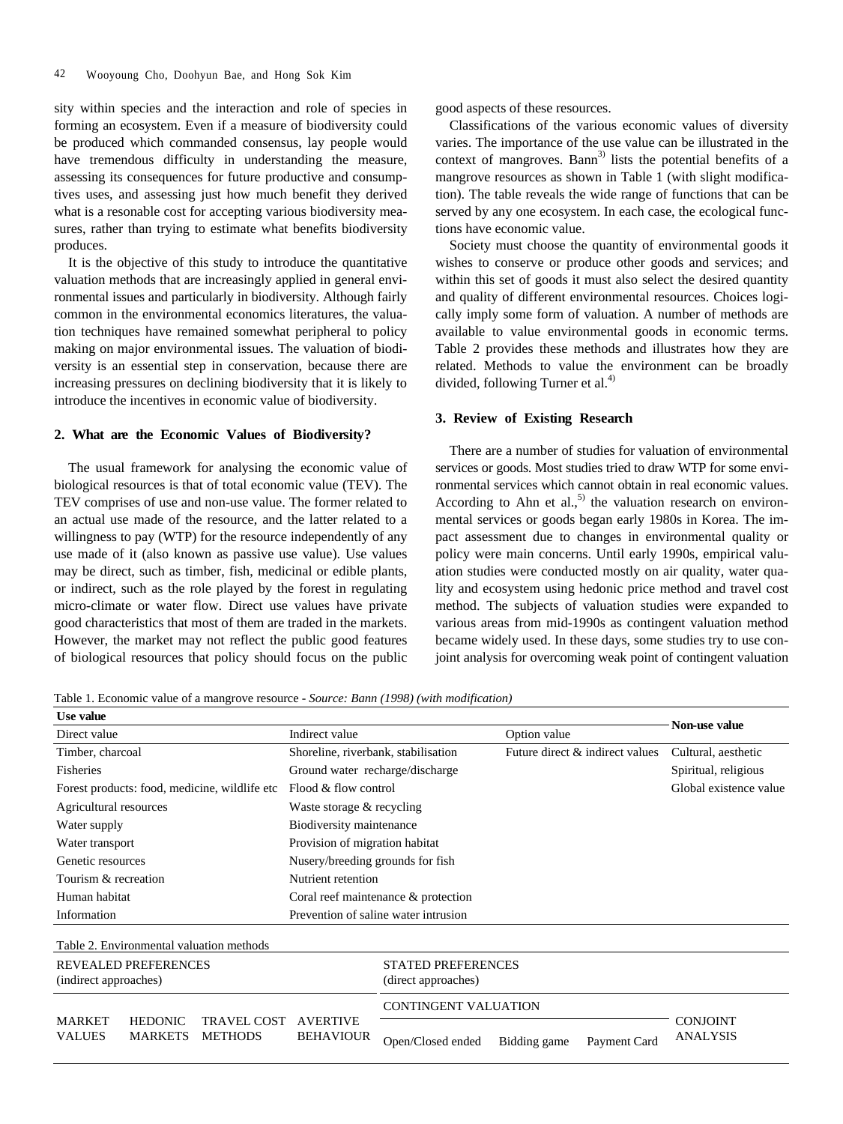sity within species and the interaction and role of species in forming an ecosystem. Even if a measure of biodiversity could be produced which commanded consensus, lay people would have tremendous difficulty in understanding the measure, assessing its consequences for future productive and consumptives uses, and assessing just how much benefit they derived what is a resonable cost for accepting various biodiversity measures, rather than trying to estimate what benefits biodiversity produces.

It is the objective of this study to introduce the quantitative valuation methods that are increasingly applied in general environmental issues and particularly in biodiversity. Although fairly common in the environmental economics literatures, the valuation techniques have remained somewhat peripheral to policy making on major environmental issues. The valuation of biodiversity is an essential step in conservation, because there are increasing pressures on declining biodiversity that it is likely to introduce the incentives in economic value of biodiversity.

## **2. What are the Economic Values of Biodiversity?**

The usual framework for analysing the economic value of biological resources is that of total economic value (TEV). The TEV comprises of use and non-use value. The former related to an actual use made of the resource, and the latter related to a willingness to pay (WTP) for the resource independently of any use made of it (also known as passive use value). Use values may be direct, such as timber, fish, medicinal or edible plants, or indirect, such as the role played by the forest in regulating micro-climate or water flow. Direct use values have private good characteristics that most of them are traded in the markets. However, the market may not reflect the public good features of biological resources that policy should focus on the public

good aspects of these resources.

Classifications of the various economic values of diversity varies. The importance of the use value can be illustrated in the context of mangroves. Bann<sup>3)</sup> lists the potential benefits of a mangrove resources as shown in Table 1 (with slight modification). The table reveals the wide range of functions that can be served by any one ecosystem. In each case, the ecological functions have economic value.

Society must choose the quantity of environmental goods it wishes to conserve or produce other goods and services; and within this set of goods it must also select the desired quantity and quality of different environmental resources. Choices logically imply some form of valuation. A number of methods are available to value environmental goods in economic terms. Table 2 provides these methods and illustrates how they are related. Methods to value the environment can be broadly divided, following Turner et al. $4$ )

## **3. Review of Existing Research**

There are a number of studies for valuation of environmental services or goods. Most studies tried to draw WTP for some environmental services which cannot obtain in real economic values. According to Ahn et al., $^{5)}$  the valuation research on environmental services or goods began early 1980s in Korea. The impact assessment due to changes in environmental quality or policy were main concerns. Until early 1990s, empirical valuation studies were conducted mostly on air quality, water quality and ecosystem using hedonic price method and travel cost method. The subjects of valuation studies were expanded to various areas from mid-1990s as contingent valuation method became widely used. In these days, some studies try to use conjoint analysis for overcoming weak point of contingent valuation

Table 1. Economic value of a mangrove resource - *Source: Bann (1998) (with modification)*

| Use value                                                                                           |                                     |                                                  |                                 |                                    |  |
|-----------------------------------------------------------------------------------------------------|-------------------------------------|--------------------------------------------------|---------------------------------|------------------------------------|--|
| Direct value                                                                                        | Indirect value                      |                                                  | Option value                    | Non-use value                      |  |
| Timber, charcoal                                                                                    | Shoreline, riverbank, stabilisation |                                                  | Future direct & indirect values | Cultural, aesthetic                |  |
| <b>Fisheries</b>                                                                                    |                                     | Ground water recharge/discharge                  |                                 | Spiritual, religious               |  |
| Forest products: food, medicine, wildlife etc.                                                      |                                     | Flood & flow control                             |                                 | Global existence value             |  |
| Agricultural resources                                                                              |                                     | Waste storage $&$ recycling                      |                                 |                                    |  |
| Water supply                                                                                        |                                     | Biodiversity maintenance                         |                                 |                                    |  |
| Water transport                                                                                     |                                     | Provision of migration habitat                   |                                 |                                    |  |
| Genetic resources                                                                                   | Nusery/breeding grounds for fish    |                                                  |                                 |                                    |  |
| Tourism & recreation                                                                                | Nutrient retention                  |                                                  |                                 |                                    |  |
| Human habitat                                                                                       |                                     | Coral reef maintenance & protection              |                                 |                                    |  |
| Information                                                                                         |                                     | Prevention of saline water intrusion             |                                 |                                    |  |
| Table 2. Environmental valuation methods                                                            |                                     |                                                  |                                 |                                    |  |
| <b>REVEALED PREFERENCES</b><br>(indirect approaches)                                                |                                     | <b>STATED PREFERENCES</b><br>(direct approaches) |                                 |                                    |  |
|                                                                                                     |                                     | <b>CONTINGENT VALUATION</b>                      |                                 |                                    |  |
| <b>MARKET</b><br><b>HEDONIC</b><br>TRAVEL COST<br><b>MARKETS</b><br><b>VALUES</b><br><b>METHODS</b> | <b>AVERTIVE</b><br><b>BEHAVIOUR</b> | Open/Closed ended                                | Bidding game<br>Payment Card    | <b>CONJOINT</b><br><b>ANALYSIS</b> |  |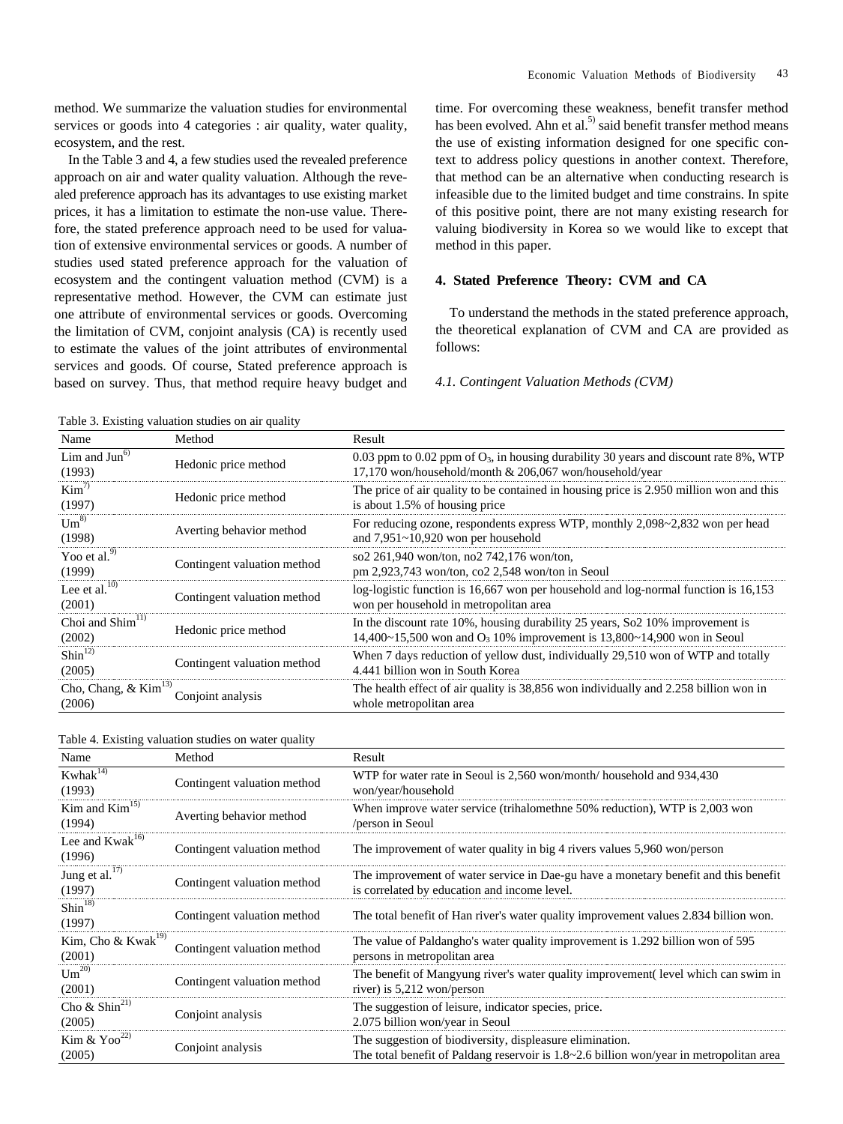In the Table 3 and 4, a few studies used the revealed preference approach on air and water quality valuation. Although the revealed preference approach has its advantages to use existing market prices, it has a limitation to estimate the non-use value. Therefore, the stated preference approach need to be used for valuation of extensive environmental services or goods. A number of studies used stated preference approach for the valuation of ecosystem and the contingent valuation method (CVM) is a representative method. However, the CVM can estimate just one attribute of environmental services or goods. Overcoming the limitation of CVM, conjoint analysis (CA) is recently used to estimate the values of the joint attributes of environmental services and goods. Of course, Stated preference approach is based on survey. Thus, that method require heavy budget and time. For overcoming these weakness, benefit transfer method has been evolved. Ahn et al.<sup>5)</sup> said benefit transfer method means the use of existing information designed for one specific context to address policy questions in another context. Therefore, that method can be an alternative when conducting research is infeasible due to the limited budget and time constrains. In spite of this positive point, there are not many existing research for valuing biodiversity in Korea so we would like to except that method in this paper.

# **4. Stated Preference Theory: CVM and CA**

To understand the methods in the stated preference approach, the theoretical explanation of CVM and CA are provided as follows:

#### *4.1. Contingent Valuation Methods (CVM)*

Table 3. Existing valuation studies on air quality Name Method Result Lim and  $\overline{Jun}^6$ Lim and Jun<sup>6</sup><br>
Hedonic price method 0.03 ppm to 0.02 ppm of O<sub>3</sub>, in housing durability 30 years and discount rate 8%, WTP<br>
17.170 won/household/month & 206.067 won/household/year 17,170 won/household/month & 206,067 won/household/year  $Kim<sup>7</sup>$  $\text{Kim}^{7/7}$  Hedonic price method The price of air quality to be contained in housing price is 2.950 million won and this (1997) is about 1.5% of housing price  $Um^{8)}$ Um<sup>8)</sup> Averting behavior method For reducing ozone, respondents express WTP, monthly 2,098~2,832 won per head and  $7.951 \sim 10.920$  won per household and 7,951~10,920 won per household Yoo et al.<sup>9</sup> Yoo et al.<sup>9)</sup> Contingent valuation method  $(1999)$  Contingent valuation method  $\frac{\text{so2 261,940 won/ton, no2 742,176 won/ton}}{\text{pm 2.923.743 won/ton, co2 2.548 won/ton in}}$ pm 2,923,743 won/ton, co2 2,548 won/ton in Seoul Lee et al. $^{10)}$ Lee et al.<sup>10)</sup> Contingent valuation method log-logistic function is 16,667 won per household and log-normal function is 16,153 won per household in metropolitan area won per household in metropolitan area Choi and  $Shim<sup>11</sup>$ Choi and Shim<sup>11)</sup> Hedonic price method In the discount rate 10%, housing durability 25 years, So2 10% improvement is  $14,400~15,500$  won and O<sub>3</sub> 10% improvement is 13,800~14,900 won in Seoul  $Shin<sup>12</sup>$  $\frac{\text{Shin}^{12}}{\text{Contingent valuation method}}$  Contingent valuation method 4.441 billion won in South Korea 4.441 billion won in South Korea Cho, Chang, & Kim<sup>13)</sup> Conjoint analysis The health effect of air quality is 38,856 won individually and 2.258 billion won in (2006) Conjoint analysis whole metropolitan area whole metropolitan area

| Table 4. Existing valuation studies on water quality |  |  |
|------------------------------------------------------|--|--|
|------------------------------------------------------|--|--|

| Name                                     | Method                      | Result                                                                                                                                                     |
|------------------------------------------|-----------------------------|------------------------------------------------------------------------------------------------------------------------------------------------------------|
| Kwhak <sup>14)</sup><br>(1993)           | Contingent valuation method | WTP for water rate in Seoul is 2,560 won/month/ household and 934,430<br>won/year/household                                                                |
| Kim and $Kim15$<br>(1994)                | Averting behavior method    | When improve water service (trihalomethne 50% reduction), WTP is 2,003 won<br>/person in Seoul                                                             |
| Lee and $Kwak^{16}$<br>(1996)            | Contingent valuation method | The improvement of water quality in big 4 rivers values 5,960 won/person                                                                                   |
| Jung et al. <sup>17)</sup><br>(1997)     | Contingent valuation method | The improvement of water service in Dae-gu have a monetary benefit and this benefit<br>is correlated by education and income level.                        |
| Shin <sup>18</sup><br>(1997)             | Contingent valuation method | The total benefit of Han river's water quality improvement values 2.834 billion won.                                                                       |
| Kim, Cho & Kwak <sup>19)</sup><br>(2001) | Contingent valuation method | The value of Paldangho's water quality improvement is 1.292 billion won of 595<br>persons in metropolitan area                                             |
| $Um^{20}$<br>(2001)                      | Contingent valuation method | The benefit of Mangyung river's water quality improvement (level which can swim in<br>river) is $5,212$ won/person                                         |
| Cho & Shin <sup>21)</sup><br>(2005)      | Conjoint analysis           | The suggestion of leisure, indicator species, price.<br>2.075 billion won/year in Seoul                                                                    |
| Kim & $Yoo^{22}$<br>(2005)               | Conjoint analysis           | The suggestion of biodiversity, displeasure elimination.<br>The total benefit of Paldang reservoir is $1.8 \sim 2.6$ billion won/year in metropolitan area |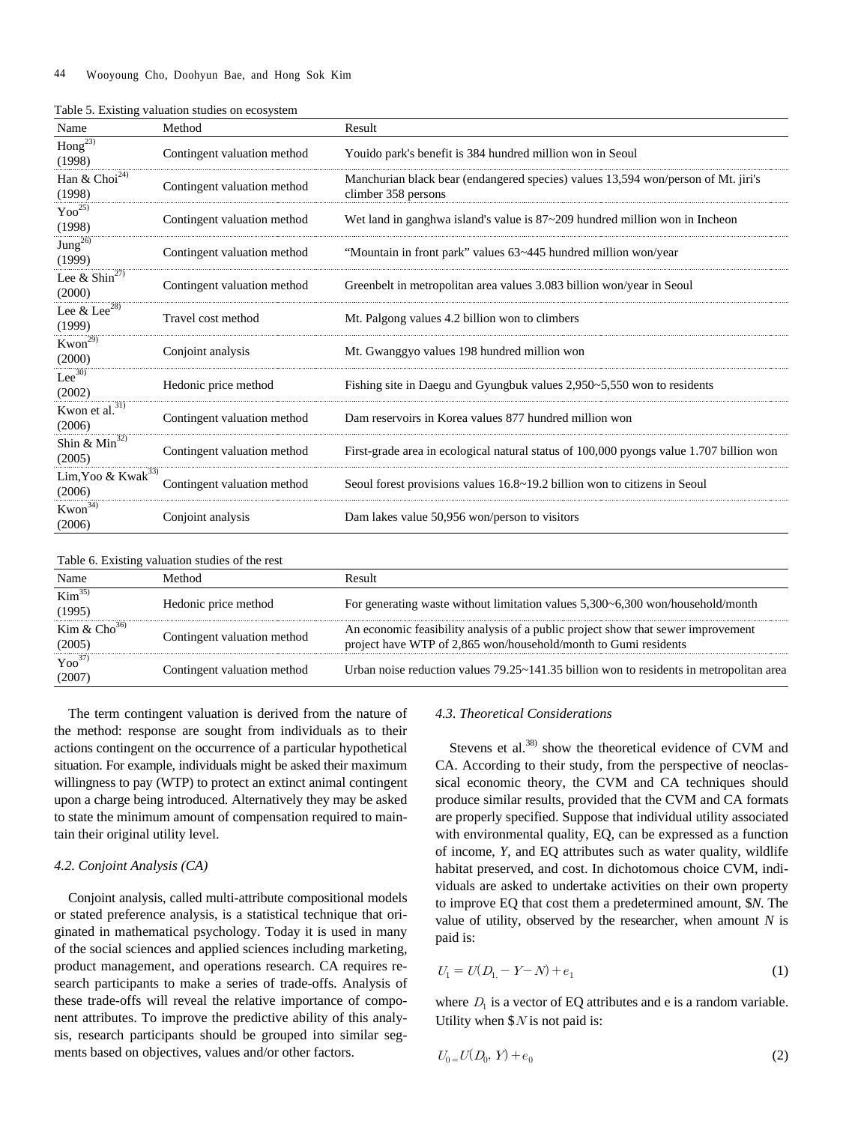| Name                                     | Method                      | Result                                                                                                   |
|------------------------------------------|-----------------------------|----------------------------------------------------------------------------------------------------------|
| $\overline{\text{Hong}}^{23}$<br>(1998)  | Contingent valuation method | Youido park's benefit is 384 hundred million won in Seoul                                                |
| Han & $Choi24$<br>(1998)                 | Contingent valuation method | Manchurian black bear (endangered species) values 13,594 won/person of Mt. jiri's<br>climber 358 persons |
| $Yoo^{25}$<br>(1998)                     | Contingent valuation method | Wet land in ganghwa island's value is $87 - 209$ hundred million won in Incheon                          |
| Jung <sup>26</sup><br>(1999)             | Contingent valuation method | "Mountain in front park" values 63~445 hundred million won/year                                          |
| Lee & Shin <sup>27)</sup><br>(2000)      | Contingent valuation method | Greenbelt in metropolitan area values 3.083 billion won/year in Seoul                                    |
| Lee $&$ Lee <sup>28)</sup><br>(1999)     | Travel cost method          | Mt. Palgong values 4.2 billion won to climbers                                                           |
| $Kwon^{29)}$<br>(2000)                   | Conjoint analysis           | Mt. Gwanggyo values 198 hundred million won                                                              |
| $Lee^{30}$<br>(2002)                     | Hedonic price method        | Fishing site in Daegu and Gyungbuk values $2,950-5,550$ won to residents                                 |
| Kwon et al. <sup>31)</sup><br>(2006)     | Contingent valuation method | Dam reservoirs in Korea values 877 hundred million won                                                   |
| Shin & $Min^{32}$<br>(2005)              | Contingent valuation method | First-grade area in ecological natural status of 100,000 pyongs value 1.707 billion won                  |
| Lim, Yoo & Kwak <sup>33)</sup><br>(2006) | Contingent valuation method | Seoul forest provisions values 16.8~19.2 billion won to citizens in Seoul                                |
| Kwon <sup>34)</sup><br>(2006)            | Conjoint analysis           | Dam lakes value 50,956 won/person to visitors                                                            |

Table 5. Existing valuation studies on ecosystem

|  | Table 6. Existing valuation studies of the rest |  |  |
|--|-------------------------------------------------|--|--|
|  |                                                 |  |  |

| Name                                   | Method                      | Result                                                                                                                                              |
|----------------------------------------|-----------------------------|-----------------------------------------------------------------------------------------------------------------------------------------------------|
| $\overline{\text{Kim}^{35}}$<br>(1995) | Hedonic price method        | For generating waste without limitation values 5,300~6,300 won/household/month                                                                      |
| Kim & $Cho^{36}$<br>(2005)             | Contingent valuation method | An economic feasibility analysis of a public project show that sewer improvement<br>project have WTP of 2,865 won/household/month to Gumi residents |
| $Yoo^{37}$<br>(2007)                   | Contingent valuation method | Urban noise reduction values $79.25 \times 141.35$ billion won to residents in metropolitan area                                                    |

The term contingent valuation is derived from the nature of the method: response are sought from individuals as to their actions contingent on the occurrence of a particular hypothetical situation. For example, individuals might be asked their maximum willingness to pay (WTP) to protect an extinct animal contingent upon a charge being introduced. Alternatively they may be asked to state the minimum amount of compensation required to maintain their original utility level.

#### *4.2. Conjoint Analysis (CA)*

Conjoint analysis, called multi-attribute compositional models or stated preference analysis, is a statistical technique that originated in mathematical psychology. Today it is used in many of the social sciences and applied sciences including marketing, product management, and operations research. CA requires research participants to make a series of trade-offs. Analysis of these trade-offs will reveal the relative importance of component attributes. To improve the predictive ability of this analysis, research participants should be grouped into similar segments based on objectives, values and/or other factors.

# *4.3. Theoretical Considerations*

Stevens et al.<sup>38)</sup> show the theoretical evidence of CVM and CA. According to their study, from the perspective of neoclassical economic theory, the CVM and CA techniques should produce similar results, provided that the CVM and CA formats are properly specified. Suppose that individual utility associated with environmental quality, EQ, can be expressed as a function of income, *Y*, and EQ attributes such as water quality, wildlife habitat preserved, and cost. In dichotomous choice CVM, individuals are asked to undertake activities on their own property to improve EQ that cost them a predetermined amount, \$*N*. The value of utility, observed by the researcher, when amount *N* is paid is:

$$
U_1 = U(D_1 - Y - N) + e_1 \tag{1}
$$

where  $D_1$  is a vector of EQ attributes and e is a random variable. Utility when  $N$  is not paid is:

$$
U_0 = U(D_0, Y) + e_0 \tag{2}
$$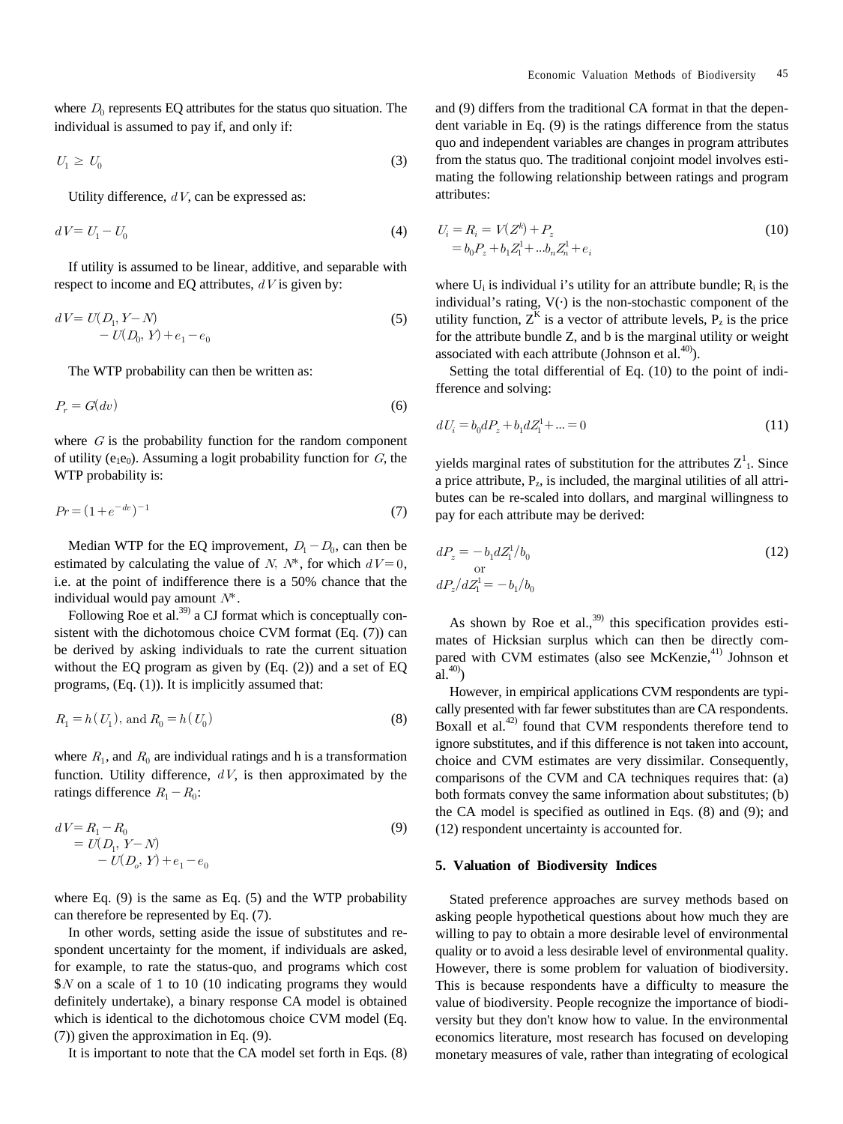where  $D_0$  represents EQ attributes for the status quo situation. The individual is assumed to pay if, and only if:

$$
U_1 \geq U_0 \tag{3}
$$

Utility difference,  $dV$ , can be expressed as:

$$
dV = U_1 - U_0 \tag{4}
$$

If utility is assumed to be linear, additive, and separable with respect to income and EQ attributes,  $dV$  is given by:

$$
dV = U(D_1, Y - N)
$$
  
- U(D\_0, Y) + e<sub>1</sub> - e<sub>0</sub> (5)

The WTP probability can then be written as:

$$
P_r = G(dv) \tag{6}
$$

where  $G$  is the probability function for the random component of utility (e<sub>1</sub>e<sub>0</sub>). Assuming a logit probability function for  $G$ , the WTP probability is:

$$
Pr = (1 + e^{-dv})^{-1}
$$
 (7)

Median WTP for the EQ improvement,  $D_1 - D_0$ , can then be estimated by calculating the value of N,  $N^*$ , for which  $dV = 0$ , i.e. at the point of indifference there is a 50% chance that the individual would pay amount  $N^*$ .

Following Roe et al.<sup>39)</sup> a CJ format which is conceptually consistent with the dichotomous choice CVM format (Eq. (7)) can be derived by asking individuals to rate the current situation without the EQ program as given by (Eq. (2)) and a set of EQ programs, (Eq. (1)). It is implicitly assumed that:

$$
R_1 = h(U_1), \text{ and } R_0 = h(U_0)
$$
\n(8)

where  $R_1$ , and  $R_0$  are individual ratings and h is a transformation function. Utility difference,  $dV$ , is then approximated by the ratings difference  $R_1 - R_0$ :

$$
dV = R_1 - R_0
$$
  
=  $U(D_1, Y - N)$   
-  $U(D_o, Y) + e_1 - e_0$  (9)

where Eq. (9) is the same as Eq. (5) and the WTP probability can therefore be represented by Eq. (7).

In other words, setting aside the issue of substitutes and respondent uncertainty for the moment, if individuals are asked, for example, to rate the status-quo, and programs which cost  $N$  on a scale of 1 to 10 (10 indicating programs they would definitely undertake), a binary response CA model is obtained which is identical to the dichotomous choice CVM model (Eq. (7)) given the approximation in Eq. (9).

It is important to note that the CA model set forth in Eqs. (8)

and (9) differs from the traditional CA format in that the dependent variable in Eq. (9) is the ratings difference from the status quo and independent variables are changes in program attributes from the status quo. The traditional conjoint model involves estimating the following relationship between ratings and program attributes:

$$
U_i = R_i = V(Z^k) + P_z
$$
  
=  $b_0 P_z + b_1 Z_1^1 + ... b_n Z_n^1 + e_i$  (10)

where  $U_i$  is individual i's utility for an attribute bundle;  $R_i$  is the individual's rating,  $V(\cdot)$  is the non-stochastic component of the utility function,  $Z^{K}$  is a vector of attribute levels,  $P_{z}$  is the price for the attribute bundle Z, and b is the marginal utility or weight associated with each attribute (Johnson et al. $40$ ).

Setting the total differential of Eq. (10) to the point of indifference and solving:

$$
dU_i = b_0 dP_z + b_1 dZ_1^1 + \dots = 0
$$
\n(11)

yields marginal rates of substitution for the attributes  $Z<sup>1</sup>$ . Since a price attribute,  $P_z$ , is included, the marginal utilities of all attributes can be re-scaled into dollars, and marginal willingness to pay for each attribute may be derived:

$$
dP_z = -b_1 dZ_1^1/b_0
$$
  
or  

$$
dP_z/dZ_1^1 = -b_1/b_0
$$
 (12)

As shown by Roe et al.,  $39$  this specification provides estimates of Hicksian surplus which can then be directly compared with CVM estimates (also see McKenzie,<sup>41)</sup> Johnson et  $\mathbf{a}^{(40)}$ 

However, in empirical applications CVM respondents are typically presented with far fewer substitutes than are CA respondents. Boxall et al.<sup>42)</sup> found that CVM respondents therefore tend to ignore substitutes, and if this difference is not taken into account, choice and CVM estimates are very dissimilar. Consequently, comparisons of the CVM and CA techniques requires that: (a) both formats convey the same information about substitutes; (b) the CA model is specified as outlined in Eqs. (8) and (9); and (12) respondent uncertainty is accounted for.

## **5. Valuation of Biodiversity Indices**

Stated preference approaches are survey methods based on asking people hypothetical questions about how much they are willing to pay to obtain a more desirable level of environmental quality or to avoid a less desirable level of environmental quality. However, there is some problem for valuation of biodiversity. This is because respondents have a difficulty to measure the value of biodiversity. People recognize the importance of biodiversity but they don't know how to value. In the environmental economics literature, most research has focused on developing monetary measures of vale, rather than integrating of ecological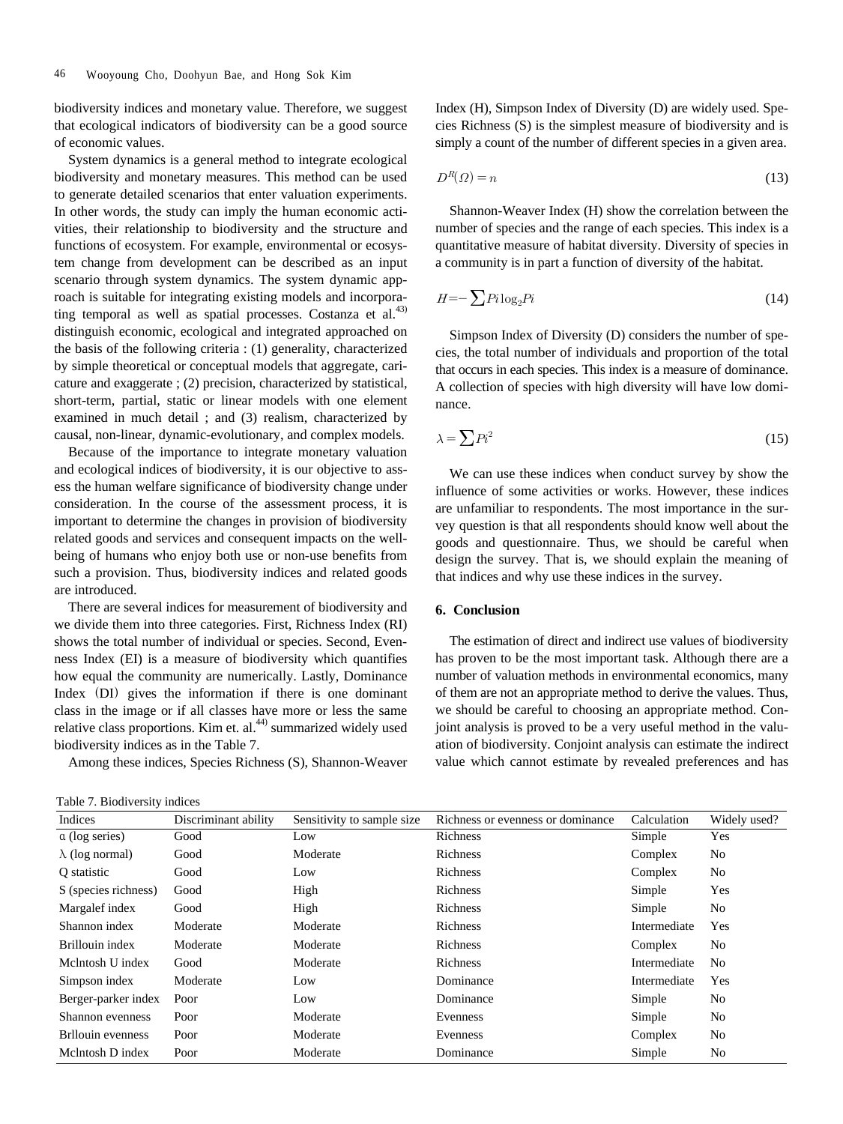biodiversity indices and monetary value. Therefore, we suggest that ecological indicators of biodiversity can be a good source of economic values.

System dynamics is a general method to integrate ecological biodiversity and monetary measures. This method can be used to generate detailed scenarios that enter valuation experiments. In other words, the study can imply the human economic activities, their relationship to biodiversity and the structure and functions of ecosystem. For example, environmental or ecosystem change from development can be described as an input scenario through system dynamics. The system dynamic approach is suitable for integrating existing models and incorporating temporal as well as spatial processes. Costanza et al. $43$ ) distinguish economic, ecological and integrated approached on the basis of the following criteria : (1) generality, characterized by simple theoretical or conceptual models that aggregate, caricature and exaggerate ; (2) precision, characterized by statistical, short-term, partial, static or linear models with one element examined in much detail ; and (3) realism, characterized by causal, non-linear, dynamic-evolutionary, and complex models.

Because of the importance to integrate monetary valuation and ecological indices of biodiversity, it is our objective to assess the human welfare significance of biodiversity change under consideration. In the course of the assessment process, it is important to determine the changes in provision of biodiversity related goods and services and consequent impacts on the wellbeing of humans who enjoy both use or non-use benefits from such a provision. Thus, biodiversity indices and related goods are introduced.

There are several indices for measurement of biodiversity and we divide them into three categories. First, Richness Index (RI) shows the total number of individual or species. Second, Evenness Index (EI) is a measure of biodiversity which quantifies how equal the community are numerically. Lastly, Dominance Index (DI) gives the information if there is one dominant class in the image or if all classes have more or less the same relative class proportions. Kim et. al.<sup>44)</sup> summarized widely used biodiversity indices as in the Table 7.

Among these indices, Species Richness (S), Shannon-Weaver

Table 7. Biodiversity indices

Index (H), Simpson Index of Diversity (D) are widely used. Species Richness (S) is the simplest measure of biodiversity and is simply a count of the number of different species in a given area.

$$
D^R(\Omega) = n \tag{13}
$$

Shannon-Weaver Index (H) show the correlation between the number of species and the range of each species. This index is a quantitative measure of habitat diversity. Diversity of species in a community is in part a function of diversity of the habitat.

$$
H = -\sum P_i \log_2 P_i \tag{14}
$$

Simpson Index of Diversity (D) considers the number of species, the total number of individuals and proportion of the total that occurs in each species. This index is a measure of dominance. A collection of species with high diversity will have low dominance.

$$
\lambda = \sum P i^2 \tag{15}
$$

We can use these indices when conduct survey by show the influence of some activities or works. However, these indices are unfamiliar to respondents. The most importance in the survey question is that all respondents should know well about the goods and questionnaire. Thus, we should be careful when design the survey. That is, we should explain the meaning of that indices and why use these indices in the survey.

## **6. Conclusion**

The estimation of direct and indirect use values of biodiversity has proven to be the most important task. Although there are a number of valuation methods in environmental economics, many of them are not an appropriate method to derive the values. Thus, we should be careful to choosing an appropriate method. Conjoint analysis is proved to be a very useful method in the valuation of biodiversity. Conjoint analysis can estimate the indirect value which cannot estimate by revealed preferences and has

| Indices                | Discriminant ability | Sensitivity to sample size. | Richness or evenness or dominance | Calculation  | Widely used?   |
|------------------------|----------------------|-----------------------------|-----------------------------------|--------------|----------------|
| a (log series)         | Good                 | Low                         | Richness                          | Simple       | Yes            |
| $\lambda$ (log normal) | Good                 | Moderate                    | Richness                          | Complex      | No             |
| O statistic            | Good                 | Low                         | Richness                          | Complex      | No             |
| S (species richness)   | Good                 | High                        | Richness                          | Simple       | Yes            |
| Margalef index         | Good                 | High                        | Richness                          | Simple       | No             |
| Shannon index          | Moderate             | Moderate                    | Richness                          | Intermediate | Yes            |
| Brillouin index        | Moderate             | Moderate                    | Richness                          | Complex      | No             |
| Melntosh U index       | Good                 | Moderate                    | Richness                          | Intermediate | N <sub>0</sub> |
| Simpson index          | Moderate             | Low                         | Dominance                         | Intermediate | <b>Yes</b>     |
| Berger-parker index    | Poor                 | Low                         | Dominance                         | Simple       | No             |
| Shannon evenness       | Poor                 | Moderate                    | Evenness                          | Simple       | No             |
| Brllouin evenness      | Poor                 | Moderate                    | Evenness                          | Complex      | No             |
| McIntosh D index       | Poor                 | Moderate                    | Dominance                         | Simple       | No             |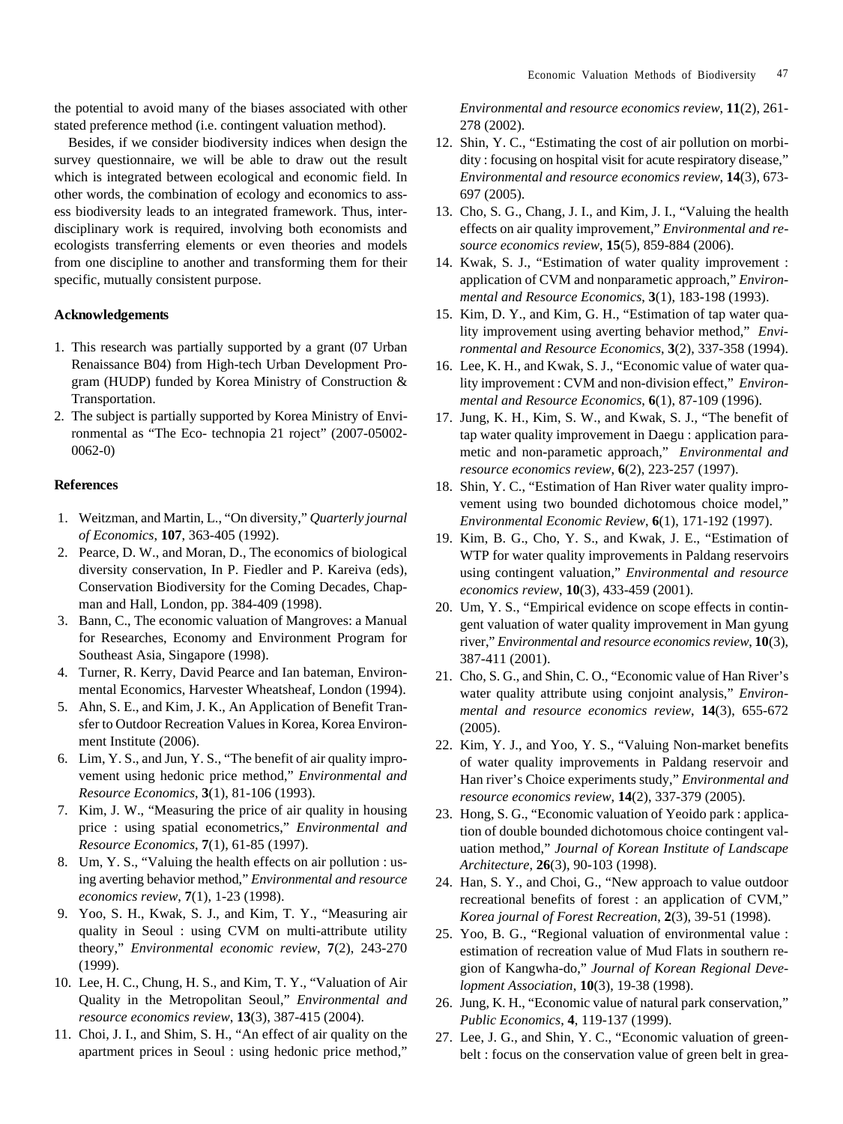the potential to avoid many of the biases associated with other stated preference method (i.e. contingent valuation method).

Besides, if we consider biodiversity indices when design the survey questionnaire, we will be able to draw out the result which is integrated between ecological and economic field. In other words, the combination of ecology and economics to assess biodiversity leads to an integrated framework. Thus, interdisciplinary work is required, involving both economists and ecologists transferring elements or even theories and models from one discipline to another and transforming them for their specific, mutually consistent purpose.

# **Acknowledgements**

- 1. This research was partially supported by a grant (07 Urban Renaissance B04) from High-tech Urban Development Program (HUDP) funded by Korea Ministry of Construction & Transportation.
- 2. The subject is partially supported by Korea Ministry of Environmental as "The Eco- technopia 21 roject" (2007-05002- 0062-0)

#### **References**

- 1. Weitzman, and Martin, L., "On diversity," *Quarterly journal of Economics*, **107**, 363-405 (1992).
- 2. Pearce, D. W., and Moran, D., The economics of biological diversity conservation, In P. Fiedler and P. Kareiva (eds), Conservation Biodiversity for the Coming Decades, Chapman and Hall, London, pp. 384-409 (1998).
- 3. Bann, C., The economic valuation of Mangroves: a Manual for Researches, Economy and Environment Program for Southeast Asia, Singapore (1998).
- 4. Turner, R. Kerry, David Pearce and Ian bateman, Environmental Economics, Harvester Wheatsheaf, London (1994).
- 5. Ahn, S. E., and Kim, J. K., An Application of Benefit Transfer to Outdoor Recreation Values in Korea, Korea Environment Institute (2006).
- 6. Lim, Y. S., and Jun, Y. S., "The benefit of air quality improvement using hedonic price method," *Environmental and Resource Economics*, **3**(1), 81-106 (1993).
- 7. Kim, J. W., "Measuring the price of air quality in housing price : using spatial econometrics," *Environmental and Resource Economics*, **7**(1), 61-85 (1997).
- 8. Um, Y. S., "Valuing the health effects on air pollution : using averting behavior method," *Environmental and resource economics review*, **7**(1), 1-23 (1998).
- 9. Yoo, S. H., Kwak, S. J., and Kim, T. Y., "Measuring air quality in Seoul : using CVM on multi-attribute utility theory," *Environmental economic review*, **7**(2), 243-270 (1999).
- 10. Lee, H. C., Chung, H. S., and Kim, T. Y., "Valuation of Air Quality in the Metropolitan Seoul," *Environmental and resource economics review*, **13**(3), 387-415 (2004).
- 11. Choi, J. I., and Shim, S. H., "An effect of air quality on the apartment prices in Seoul : using hedonic price method,"

*Environmental and resource economics review*, **11**(2), 261- 278 (2002).

- 12. Shin, Y. C., "Estimating the cost of air pollution on morbidity : focusing on hospital visit for acute respiratory disease," *Environmental and resource economics review*, **14**(3), 673- 697 (2005).
- 13. Cho, S. G., Chang, J. I., and Kim, J. I., "Valuing the health effects on air quality improvement," *Environmental and resource economics review*, **15**(5), 859-884 (2006).
- 14. Kwak, S. J., "Estimation of water quality improvement : application of CVM and nonparametic approach," *Environmental and Resource Economics*, **3**(1), 183-198 (1993).
- 15. Kim, D. Y., and Kim, G. H., "Estimation of tap water quality improvement using averting behavior method," *Environmental and Resource Economics*, **3**(2), 337-358 (1994).
- 16. Lee, K. H., and Kwak, S. J., "Economic value of water quality improvement : CVM and non-division effect," *Environmental and Resource Economics*, **6**(1), 87-109 (1996).
- 17. Jung, K. H., Kim, S. W., and Kwak, S. J., "The benefit of tap water quality improvement in Daegu : application parametic and non-parametic approach," *Environmental and resource economics review*, **6**(2), 223-257 (1997).
- 18. Shin, Y. C., "Estimation of Han River water quality improvement using two bounded dichotomous choice model," *Environmental Economic Review*, **6**(1), 171-192 (1997).
- 19. Kim, B. G., Cho, Y. S., and Kwak, J. E., "Estimation of WTP for water quality improvements in Paldang reservoirs using contingent valuation," *Environmental and resource economics review*, **10**(3), 433-459 (2001).
- 20. Um, Y. S., "Empirical evidence on scope effects in contingent valuation of water quality improvement in Man gyung river," *Environmental and resource economics review*, **10**(3), 387-411 (2001).
- 21. Cho, S. G., and Shin, C. O., "Economic value of Han River's water quality attribute using conjoint analysis," *Environmental and resource economics review*, **14**(3), 655-672 (2005).
- 22. Kim, Y. J., and Yoo, Y. S., "Valuing Non-market benefits of water quality improvements in Paldang reservoir and Han river's Choice experiments study," *Environmental and resource economics review*, **14**(2), 337-379 (2005).
- 23. Hong, S. G., "Economic valuation of Yeoido park : application of double bounded dichotomous choice contingent valuation method," *Journal of Korean Institute of Landscape Architecture*, **26**(3), 90-103 (1998).
- 24. Han, S. Y., and Choi, G., "New approach to value outdoor recreational benefits of forest : an application of CVM," *Korea journal of Forest Recreation*, **2**(3), 39-51 (1998).
- 25. Yoo, B. G., "Regional valuation of environmental value : estimation of recreation value of Mud Flats in southern region of Kangwha-do," *Journal of Korean Regional Development Association*, **10**(3), 19-38 (1998).
- 26. Jung, K. H., "Economic value of natural park conservation," *Public Economics*, **4**, 119-137 (1999).
- 27. Lee, J. G., and Shin, Y. C., "Economic valuation of greenbelt : focus on the conservation value of green belt in grea-